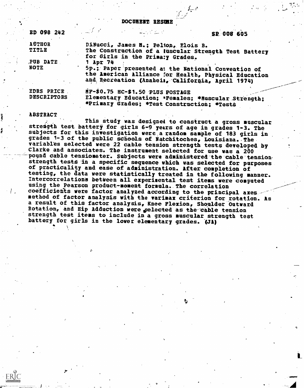DOCUMENT. RESUME

| ED 098 242                                        | and the state of the state of the state | SP 008 605                                                                                                                                                                                                                                                                                        |  |  |  |  |
|---------------------------------------------------|-----------------------------------------|---------------------------------------------------------------------------------------------------------------------------------------------------------------------------------------------------------------------------------------------------------------------------------------------------|--|--|--|--|
| <b>AUTHOR</b><br><b>TITLE</b><br>PUB DATE<br>NOTE | $1$ Apr $74$                            | DiNucci, James N.: Pelton, Elois B.<br>The Construction of a luscular Strength Test Battery<br>for Girls in the Primary Grades.<br>5p.: Paper presented at the National Convention of<br>the American Alliance for Health, Physical Education<br>and Recreation (Anaheim, California, April 1974) |  |  |  |  |
| EDRS PRICE<br><b>DESCRIPTORS</b>                  | HF-\$0.75 HC-\$1.50 PLUS POSTAGE        | Elementary Education; *Females; *Buscular Strength;<br>*Primary Grades; *Test Construction; *Tests                                                                                                                                                                                                |  |  |  |  |

#### ABSTRACT

a

This study was designed to construct a gross muscular strength test battery for girls 6-9 years of age in grades 1-3. The subjects for this investigation were a random sample of 183 girls in grades 1-3 of the public schools of Natchitoches, Louisiana. The variables selected were 22 cable tension strength tests developed by Clarke and associates. The instrument selected for use was a 200 pound cable tensiometer. Subjects were administered the cable tension. strength tests in a specific sequence which was selected for purposes of practicality and ease of administration. After completion of testing, the data were statistically treated in the following manner. Intercorrelations between all experimental test items were computed using the Pearson product-moment formula. The correlation coefficients were factor analyzed according to the principal axes. method of factor analysis with the varimax criterion for rotation. As a result of this factor analysis, Knee Flexion, Shoulder Outward Rotation, and Hip Adduction were selected as the cable tension strength test items to include in a gross muscular strength test battery for girls in the lower elementary grades. (JA)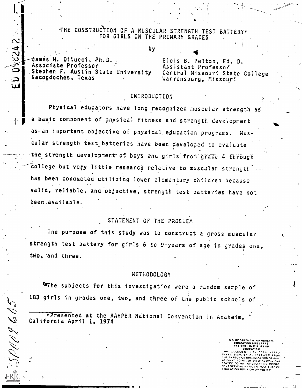# THE CONSTRUCTION OF A MUSCULAR STRENGTH TEST BATTERY\* FOR GIRLS IN THE PRIMARY GRADES

by  $\mathcal{A}$  and  $\mathcal{A}$ James M. DiNucci, Ph.D. Associate Professor Stephen F. Austin State University Nacogdoches, Texas.

**ED 038242** 

ESPUNG 605

Elois B. Pelton, Ed. D. Assistant Professor' Central Missouri State College Warrensburg, Missouri

OK.

# INTRODUCTION

Physical educators have long recognized muscular strength as a basic component of physical fitness and strength development as an important objective of physical education programs. Muscular strength test batteries have been developed to evaluate the strength development of boys and girls from grade 4 through college but very little research relative to muscular strength has been conducted utilizing lower elementary children because valid, reliable, and objective, strength test batteries have not been available.

# STATEMENT OF THE PROBLEM

The purpose of this study was to construct a gross muscular strength test battery for girls 6 to 9 years of age in grades one, two, and three.

### METHODOLOGY

The subjects for this investigation were a random sample of 183 girls in grades one, two, and three of the public schools of

\*Presented at the AAHPER National Convention in Anaheim,

m

U S DEPARTMENT OF NEALF14. EDUCATION WELFARE NATIONAL INSTITUTE OF

EDUCATION 5<br>THIY, DOCUMENT MAS BEEN REPRO<br>DIAED EXACTLY AS RECEIVED FROM TO T THE PERSON OR ORGANIZATION ORIGIN. A TING IT POINTS OF VIEW ON 07'INIONS STATED DO NOT NECESSARILY REPRE<br>SENT OFFICIAL NATIONAL INSTITUTE OF DIE<br>EDUCATION POSITION OR POLICY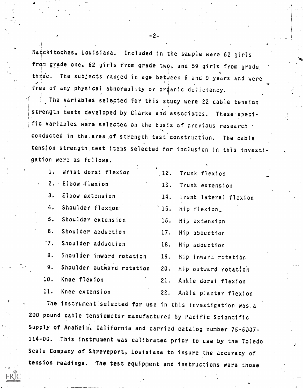Natchitoches, Louisiana. Included in the sample were 62 girls from grade one, 62 girls from grade two, and 59 girls from grade three. The subjects ranged in age between 6 and 9 years and were free of any physical abnormality or organic deficiency.

The variables selected for this study were 22 cable tension strength tests developed by Clarke and associates. These'specific variables were selected on the basis of previous research  $\cdot$ conducted in the, area of strength test constriction. The cable tension strength test items selected for inclusion in this investigation were as follows.

| 1. Wrist dorsi flexion       | ¢.  | 12. Trunk flexion         |
|------------------------------|-----|---------------------------|
| 2. Elbow flexion             |     | 13. Trunk extension       |
| 3. Elbow extension           |     | 14. Trunk lateral flexion |
| 4. Shoulder flexion          |     | $15.$ Hip flexion         |
| 5. Shoulder extension        |     | 16. Hip extension         |
| 6. Shoulder abduction        |     | 17. Hip abduction         |
| 7. Shoulder adduction        |     | 18. Hip adduction         |
| 8. Shoulder inward rotation  |     | 19. Hip inward rotation   |
| 9. Shoulder outward rotation |     | 20. Hip outward rotation  |
| 10. Knee flexion             | 21. | Ankle dorsi flexion       |
| 11. Knee extension           |     | 22. Ankle plantar flexion |

The instrument'selected for use in this investigation was .a 200 pound cable tensiometer manufactured by Pacific Scientific Supply of Anaheim, California and carried catalog number 75-6007-114 -00. .This instrument was calibrated prior to use by the Toledo Scale COmpany of Shreveport, Louisiana to insure the accuracy of tension readings. The test equipment and instructions were those

-2-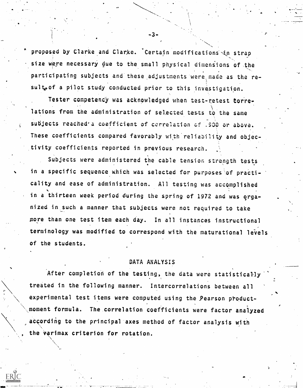proposed by Clarke and Clarke. Certain modifications in strap size were necessary due to the small physical dimensions of the participating subjects and these adjustments were made as the re- $\alpha$  and  $\alpha$ sultoof a pilot study conducted prior to this investigation.

Tester competency was acknowledged when test-retest correlations from the administration of selected tests to the same subjects reached'a coefficient of correlation of .930 or above.  $\qquad \qquad$ These coefficients compared favorably with reliability and objectivity coefficients reported in previous research.

Subjects were administered the cable tension strength tests in a specific sequence which was selected for purposes of practicality and ease of administration. All testing was accomplished in a thirteen week period during the spring of 1972 and was organized in such a manner that subjects were not required to take more than one test item each day. In all instances instructional terminology was modified to correspond with the maturational levels of the students.

## DATA ANALYSIS

After completion of the testing, the data were statistically treated in the following manner. Intercorrelations between all experimental test items were computed using the Pearson product moment formula. The correlation coefficients were factor analyzed according to the principal axes method of factor analysis with the varimax criterion for rotation.

.3.

r e s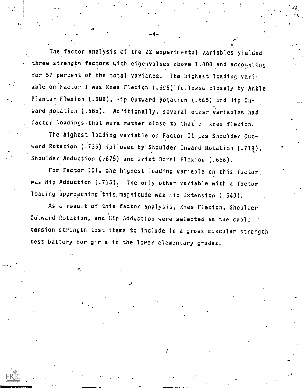The factor analysis of the 22 experimental variables yielded three strength factors with eigenvalues above 1.000 and accounting for 57 percent of the total variance. The highest loading variable on Factor I was Knee Flexion (.695) followed closely by Ankle Plantar Flexion (.686), Hip Outward Rotation (.665) and Hip Inward Rotation (.665). Ad'itionally, several other variables had factor loadings that were rather close to that o knee flexion.

The highest loading variable on Factor II was Shoulder Outward Rotation (.735) followed by Shoulder Inward Rotation (.719), Shoulder Abduction (.675) and Wrist Dorsi Flexion (.666).

For Factor III, the highest loading variable on this factor, was Hip Adduction  $(.715)$ . The only other variable with a factor loading approaching this magnitude was Hip Extension (.549).

As a result of this factor analysis, Knee Flexion, Shoulder Outward Rotation, and Hip Adduction were selected as the cable tension strength test items to include in a gross muscular strength test battery for girls in the lower elementary grades.

f.